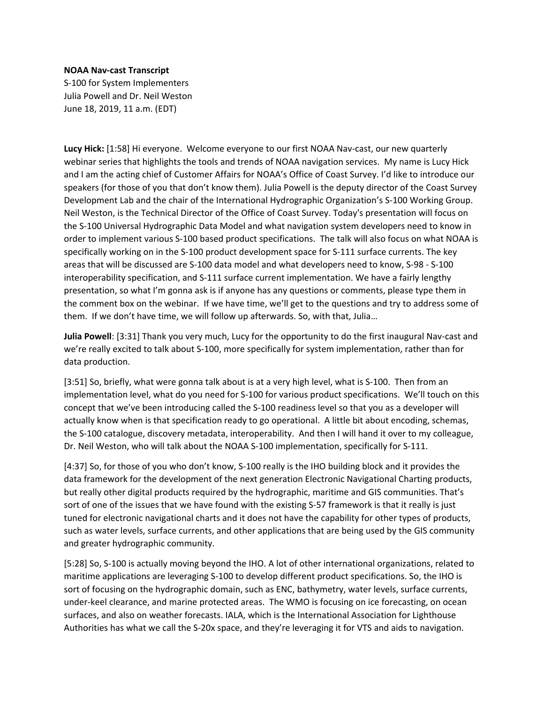## **NOAA Nav-cast Transcript**

S-100 for System Implementers Julia Powell and Dr. Neil Weston June 18, 2019, 11 a.m. (EDT)

**Lucy Hick:** [1:58] Hi everyone. Welcome everyone to our first NOAA Nav-cast, our new quarterly webinar series that highlights the tools and trends of NOAA navigation services. My name is Lucy Hick and I am the acting chief of Customer Affairs for NOAA's Office of Coast Survey. I'd like to introduce our speakers (for those of you that don't know them). Julia Powell is the deputy director of the Coast Survey Development Lab and the chair of the International Hydrographic Organization's S-100 Working Group. Neil Weston, is the Technical Director of the Office of Coast Survey. Today's presentation will focus on the S-100 Universal Hydrographic Data Model and what navigation system developers need to know in order to implement various S-100 based product specifications. The talk will also focus on what NOAA is specifically working on in the S-100 product development space for S-111 surface currents. The key areas that will be discussed are S-100 data model and what developers need to know, S-98 - S-100 interoperability specification, and S-111 surface current implementation. We have a fairly lengthy presentation, so what I'm gonna ask is if anyone has any questions or comments, please type them in the comment box on the webinar. If we have time, we'll get to the questions and try to address some of them. If we don't have time, we will follow up afterwards. So, with that, Julia…

**Julia Powell**: [3:31] Thank you very much, Lucy for the opportunity to do the first inaugural Nav-cast and we're really excited to talk about S-100, more specifically for system implementation, rather than for data production.

[3:51] So, briefly, what were gonna talk about is at a very high level, what is S-100. Then from an implementation level, what do you need for S-100 for various product specifications. We'll touch on this concept that we've been introducing called the S-100 readiness level so that you as a developer will actually know when is that specification ready to go operational. A little bit about encoding, schemas, the S-100 catalogue, discovery metadata, interoperability. And then I will hand it over to my colleague, Dr. Neil Weston, who will talk about the NOAA S-100 implementation, specifically for S-111.

[4:37] So, for those of you who don't know, S-100 really is the IHO building block and it provides the data framework for the development of the next generation Electronic Navigational Charting products, but really other digital products required by the hydrographic, maritime and GIS communities. That's sort of one of the issues that we have found with the existing S-57 framework is that it really is just tuned for electronic navigational charts and it does not have the capability for other types of products, such as water levels, surface currents, and other applications that are being used by the GIS community and greater hydrographic community.

[5:28] So, S-100 is actually moving beyond the IHO. A lot of other international organizations, related to maritime applications are leveraging S-100 to develop different product specifications. So, the IHO is sort of focusing on the hydrographic domain, such as ENC, bathymetry, water levels, surface currents, under-keel clearance, and marine protected areas. The WMO is focusing on ice forecasting, on ocean surfaces, and also on weather forecasts. IALA, which is the International Association for Lighthouse Authorities has what we call the S-20x space, and they're leveraging it for VTS and aids to navigation.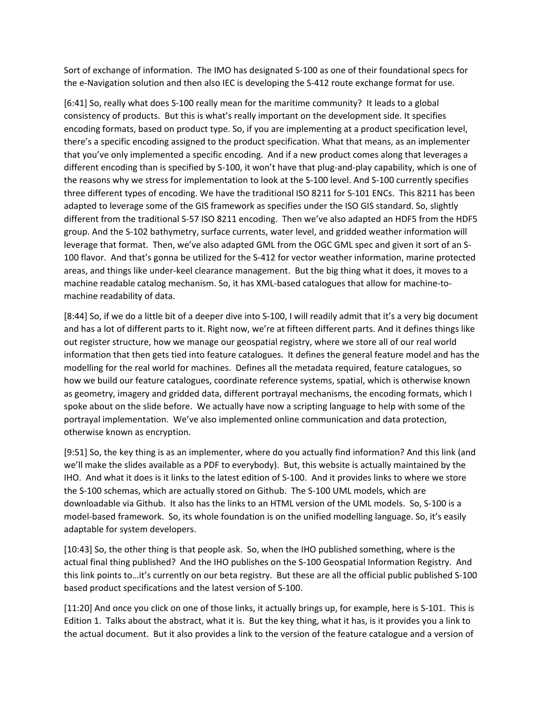Sort of exchange of information. The IMO has designated S-100 as one of their foundational specs for the e-Navigation solution and then also IEC is developing the S-412 route exchange format for use.

[6:41] So, really what does S-100 really mean for the maritime community? It leads to a global consistency of products. But this is what's really important on the development side. It specifies encoding formats, based on product type. So, if you are implementing at a product specification level, there's a specific encoding assigned to the product specification. What that means, as an implementer that you've only implemented a specific encoding. And if a new product comes along that leverages a different encoding than is specified by S-100, it won't have that plug-and-play capability, which is one of the reasons why we stress for implementation to look at the S-100 level. And S-100 currently specifies three different types of encoding. We have the traditional ISO 8211 for S-101 ENCs. This 8211 has been adapted to leverage some of the GIS framework as specifies under the ISO GIS standard. So, slightly different from the traditional S-57 ISO 8211 encoding. Then we've also adapted an HDF5 from the HDF5 group. And the S-102 bathymetry, surface currents, water level, and gridded weather information will leverage that format. Then, we've also adapted GML from the OGC GML spec and given it sort of an S-100 flavor. And that's gonna be utilized for the S-412 for vector weather information, marine protected areas, and things like under-keel clearance management. But the big thing what it does, it moves to a machine readable catalog mechanism. So, it has XML-based catalogues that allow for machine-tomachine readability of data.

[8:44] So, if we do a little bit of a deeper dive into S-100, I will readily admit that it's a very big document and has a lot of different parts to it. Right now, we're at fifteen different parts. And it defines things like out register structure, how we manage our geospatial registry, where we store all of our real world information that then gets tied into feature catalogues. It defines the general feature model and has the modelling for the real world for machines. Defines all the metadata required, feature catalogues, so how we build our feature catalogues, coordinate reference systems, spatial, which is otherwise known as geometry, imagery and gridded data, different portrayal mechanisms, the encoding formats, which I spoke about on the slide before. We actually have now a scripting language to help with some of the portrayal implementation. We've also implemented online communication and data protection, otherwise known as encryption.

[9:51] So, the key thing is as an implementer, where do you actually find information? And this link (and we'll make the slides available as a PDF to everybody). But, this website is actually maintained by the IHO. And what it does is it links to the latest edition of S-100. And it provides links to where we store the S-100 schemas, which are actually stored on Github. The S-100 UML models, which are downloadable via Github. It also has the links to an HTML version of the UML models. So, S-100 is a model-based framework. So, its whole foundation is on the unified modelling language. So, it's easily adaptable for system developers.

[10:43] So, the other thing is that people ask. So, when the IHO published something, where is the actual final thing published? And the IHO publishes on the S-100 Geospatial Information Registry. And this link points to…it's currently on our beta registry. But these are all the official public published S-100 based product specifications and the latest version of S-100.

[11:20] And once you click on one of those links, it actually brings up, for example, here is S-101. This is Edition 1. Talks about the abstract, what it is. But the key thing, what it has, is it provides you a link to the actual document. But it also provides a link to the version of the feature catalogue and a version of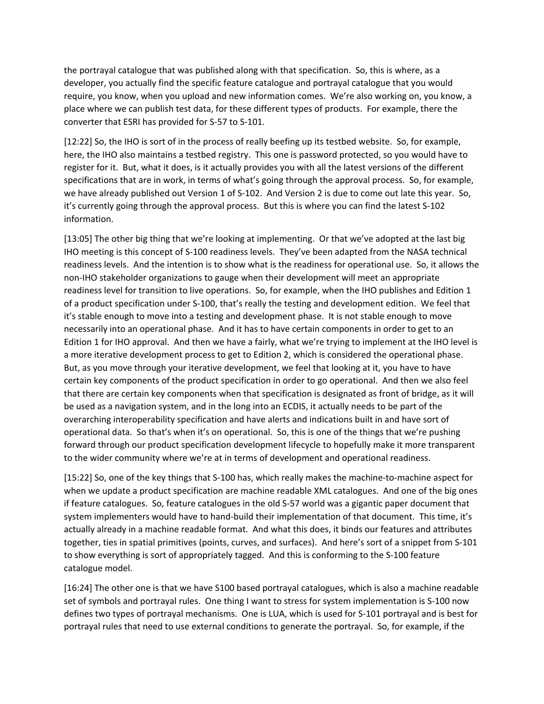the portrayal catalogue that was published along with that specification. So, this is where, as a developer, you actually find the specific feature catalogue and portrayal catalogue that you would require, you know, when you upload and new information comes. We're also working on, you know, a place where we can publish test data, for these different types of products. For example, there the converter that ESRI has provided for S-57 to S-101.

[12:22] So, the IHO is sort of in the process of really beefing up its testbed website. So, for example, here, the IHO also maintains a testbed registry. This one is password protected, so you would have to register for it. But, what it does, is it actually provides you with all the latest versions of the different specifications that are in work, in terms of what's going through the approval process. So, for example, we have already published out Version 1 of S-102. And Version 2 is due to come out late this year. So, it's currently going through the approval process. But this is where you can find the latest S-102 information.

[13:05] The other big thing that we're looking at implementing. Or that we've adopted at the last big IHO meeting is this concept of S-100 readiness levels. They've been adapted from the NASA technical readiness levels. And the intention is to show what is the readiness for operational use. So, it allows the non-IHO stakeholder organizations to gauge when their development will meet an appropriate readiness level for transition to live operations. So, for example, when the IHO publishes and Edition 1 of a product specification under S-100, that's really the testing and development edition. We feel that it's stable enough to move into a testing and development phase. It is not stable enough to move necessarily into an operational phase. And it has to have certain components in order to get to an Edition 1 for IHO approval. And then we have a fairly, what we're trying to implement at the IHO level is a more iterative development process to get to Edition 2, which is considered the operational phase. But, as you move through your iterative development, we feel that looking at it, you have to have certain key components of the product specification in order to go operational. And then we also feel that there are certain key components when that specification is designated as front of bridge, as it will be used as a navigation system, and in the long into an ECDIS, it actually needs to be part of the overarching interoperability specification and have alerts and indications built in and have sort of operational data. So that's when it's on operational. So, this is one of the things that we're pushing forward through our product specification development lifecycle to hopefully make it more transparent to the wider community where we're at in terms of development and operational readiness.

[15:22] So, one of the key things that S-100 has, which really makes the machine-to-machine aspect for when we update a product specification are machine readable XML catalogues. And one of the big ones if feature catalogues. So, feature catalogues in the old S-57 world was a gigantic paper document that system implementers would have to hand-build their implementation of that document. This time, it's actually already in a machine readable format. And what this does, it binds our features and attributes together, ties in spatial primitives (points, curves, and surfaces). And here's sort of a snippet from S-101 to show everything is sort of appropriately tagged. And this is conforming to the S-100 feature catalogue model.

[16:24] The other one is that we have S100 based portrayal catalogues, which is also a machine readable set of symbols and portrayal rules. One thing I want to stress for system implementation is S-100 now defines two types of portrayal mechanisms. One is LUA, which is used for S-101 portrayal and is best for portrayal rules that need to use external conditions to generate the portrayal. So, for example, if the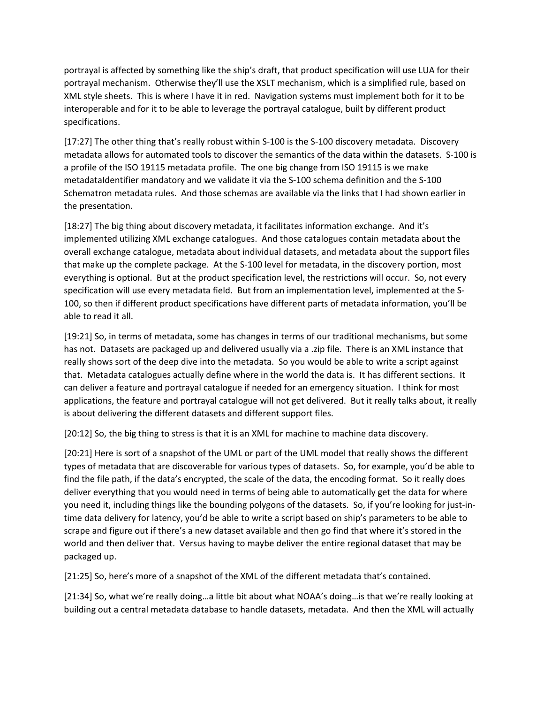portrayal is affected by something like the ship's draft, that product specification will use LUA for their portrayal mechanism. Otherwise they'll use the XSLT mechanism, which is a simplified rule, based on XML style sheets. This is where I have it in red. Navigation systems must implement both for it to be interoperable and for it to be able to leverage the portrayal catalogue, built by different product specifications.

[17:27] The other thing that's really robust within S-100 is the S-100 discovery metadata. Discovery metadata allows for automated tools to discover the semantics of the data within the datasets. S-100 is a profile of the ISO 19115 metadata profile. The one big change from ISO 19115 is we make metadataIdentifier mandatory and we validate it via the S-100 schema definition and the S-100 Schematron metadata rules. And those schemas are available via the links that I had shown earlier in the presentation.

[18:27] The big thing about discovery metadata, it facilitates information exchange. And it's implemented utilizing XML exchange catalogues. And those catalogues contain metadata about the overall exchange catalogue, metadata about individual datasets, and metadata about the support files that make up the complete package. At the S-100 level for metadata, in the discovery portion, most everything is optional. But at the product specification level, the restrictions will occur. So, not every specification will use every metadata field. But from an implementation level, implemented at the S-100, so then if different product specifications have different parts of metadata information, you'll be able to read it all.

[19:21] So, in terms of metadata, some has changes in terms of our traditional mechanisms, but some has not. Datasets are packaged up and delivered usually via a .zip file. There is an XML instance that really shows sort of the deep dive into the metadata. So you would be able to write a script against that. Metadata catalogues actually define where in the world the data is. It has different sections. It can deliver a feature and portrayal catalogue if needed for an emergency situation. I think for most applications, the feature and portrayal catalogue will not get delivered. But it really talks about, it really is about delivering the different datasets and different support files.

[20:12] So, the big thing to stress is that it is an XML for machine to machine data discovery.

[20:21] Here is sort of a snapshot of the UML or part of the UML model that really shows the different types of metadata that are discoverable for various types of datasets. So, for example, you'd be able to find the file path, if the data's encrypted, the scale of the data, the encoding format. So it really does deliver everything that you would need in terms of being able to automatically get the data for where you need it, including things like the bounding polygons of the datasets. So, if you're looking for just-intime data delivery for latency, you'd be able to write a script based on ship's parameters to be able to scrape and figure out if there's a new dataset available and then go find that where it's stored in the world and then deliver that. Versus having to maybe deliver the entire regional dataset that may be packaged up.

[21:25] So, here's more of a snapshot of the XML of the different metadata that's contained.

[21:34] So, what we're really doing…a little bit about what NOAA's doing…is that we're really looking at building out a central metadata database to handle datasets, metadata. And then the XML will actually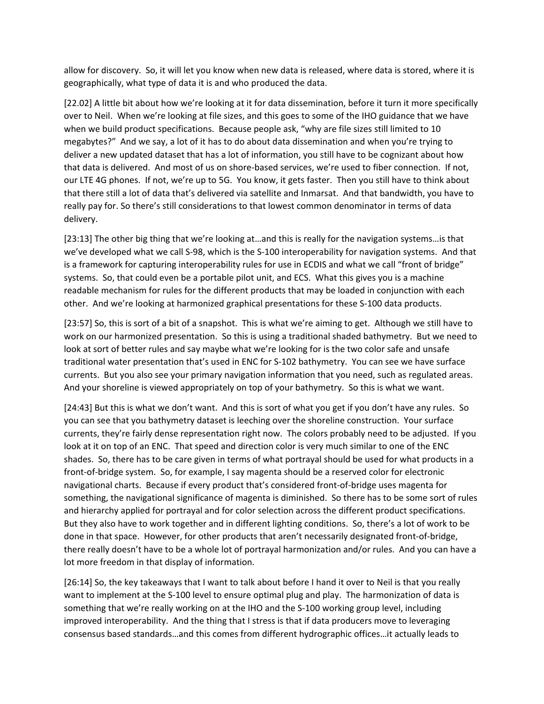allow for discovery. So, it will let you know when new data is released, where data is stored, where it is geographically, what type of data it is and who produced the data.

[22.02] A little bit about how we're looking at it for data dissemination, before it turn it more specifically over to Neil. When we're looking at file sizes, and this goes to some of the IHO guidance that we have when we build product specifications. Because people ask, "why are file sizes still limited to 10 megabytes?" And we say, a lot of it has to do about data dissemination and when you're trying to deliver a new updated dataset that has a lot of information, you still have to be cognizant about how that data is delivered. And most of us on shore-based services, we're used to fiber connection. If not, our LTE 4G phones. If not, we're up to 5G. You know, it gets faster. Then you still have to think about that there still a lot of data that's delivered via satellite and Inmarsat. And that bandwidth, you have to really pay for. So there's still considerations to that lowest common denominator in terms of data delivery.

[23:13] The other big thing that we're looking at…and this is really for the navigation systems…is that we've developed what we call S-98, which is the S-100 interoperability for navigation systems. And that is a framework for capturing interoperability rules for use in ECDIS and what we call "front of bridge" systems. So, that could even be a portable pilot unit, and ECS. What this gives you is a machine readable mechanism for rules for the different products that may be loaded in conjunction with each other. And we're looking at harmonized graphical presentations for these S-100 data products.

[23:57] So, this is sort of a bit of a snapshot. This is what we're aiming to get. Although we still have to work on our harmonized presentation. So this is using a traditional shaded bathymetry. But we need to look at sort of better rules and say maybe what we're looking for is the two color safe and unsafe traditional water presentation that's used in ENC for S-102 bathymetry. You can see we have surface currents. But you also see your primary navigation information that you need, such as regulated areas. And your shoreline is viewed appropriately on top of your bathymetry. So this is what we want.

[24:43] But this is what we don't want. And this is sort of what you get if you don't have any rules. So you can see that you bathymetry dataset is leeching over the shoreline construction. Your surface currents, they're fairly dense representation right now. The colors probably need to be adjusted. If you look at it on top of an ENC. That speed and direction color is very much similar to one of the ENC shades. So, there has to be care given in terms of what portrayal should be used for what products in a front-of-bridge system. So, for example, I say magenta should be a reserved color for electronic navigational charts. Because if every product that's considered front-of-bridge uses magenta for something, the navigational significance of magenta is diminished. So there has to be some sort of rules and hierarchy applied for portrayal and for color selection across the different product specifications. But they also have to work together and in different lighting conditions. So, there's a lot of work to be done in that space. However, for other products that aren't necessarily designated front-of-bridge, there really doesn't have to be a whole lot of portrayal harmonization and/or rules. And you can have a lot more freedom in that display of information.

[26:14] So, the key takeaways that I want to talk about before I hand it over to Neil is that you really want to implement at the S-100 level to ensure optimal plug and play. The harmonization of data is something that we're really working on at the IHO and the S-100 working group level, including improved interoperability. And the thing that I stress is that if data producers move to leveraging consensus based standards…and this comes from different hydrographic offices…it actually leads to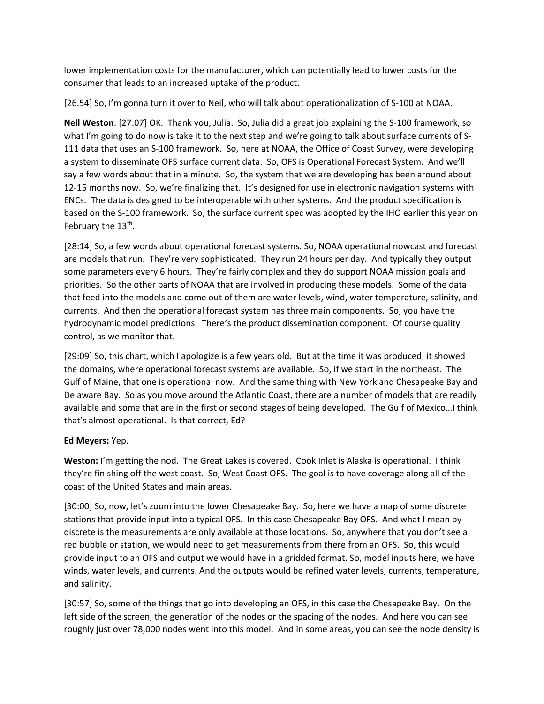lower implementation costs for the manufacturer, which can potentially lead to lower costs for the consumer that leads to an increased uptake of the product.

[26.54] So, I'm gonna turn it over to Neil, who will talk about operationalization of S-100 at NOAA.

**Neil Weston**: [27:07] OK. Thank you, Julia. So, Julia did a great job explaining the S-100 framework, so what I'm going to do now is take it to the next step and we're going to talk about surface currents of S-111 data that uses an S-100 framework. So, here at NOAA, the Office of Coast Survey, were developing a system to disseminate OFS surface current data. So, OFS is Operational Forecast System. And we'll say a few words about that in a minute. So, the system that we are developing has been around about 12-15 months now. So, we're finalizing that. It's designed for use in electronic navigation systems with ENCs. The data is designed to be interoperable with other systems. And the product specification is based on the S-100 framework. So, the surface current spec was adopted by the IHO earlier this year on February the  $13<sup>th</sup>$ .

[28:14] So, a few words about operational forecast systems. So, NOAA operational nowcast and forecast are models that run. They're very sophisticated. They run 24 hours per day. And typically they output some parameters every 6 hours. They're fairly complex and they do support NOAA mission goals and priorities. So the other parts of NOAA that are involved in producing these models. Some of the data that feed into the models and come out of them are water levels, wind, water temperature, salinity, and currents. And then the operational forecast system has three main components. So, you have the hydrodynamic model predictions. There's the product dissemination component. Of course quality control, as we monitor that.

[29:09] So, this chart, which I apologize is a few years old. But at the time it was produced, it showed the domains, where operational forecast systems are available. So, if we start in the northeast. The Gulf of Maine, that one is operational now. And the same thing with New York and Chesapeake Bay and Delaware Bay. So as you move around the Atlantic Coast, there are a number of models that are readily available and some that are in the first or second stages of being developed. The Gulf of Mexico…I think that's almost operational. Is that correct, Ed?

## **Ed Meyers:** Yep.

**Weston:** I'm getting the nod. The Great Lakes is covered. Cook Inlet is Alaska is operational. I think they're finishing off the west coast. So, West Coast OFS. The goal is to have coverage along all of the coast of the United States and main areas.

[30:00] So, now, let's zoom into the lower Chesapeake Bay. So, here we have a map of some discrete stations that provide input into a typical OFS. In this case Chesapeake Bay OFS. And what I mean by discrete is the measurements are only available at those locations. So, anywhere that you don't see a red bubble or station, we would need to get measurements from there from an OFS. So, this would provide input to an OFS and output we would have in a gridded format. So, model inputs here, we have winds, water levels, and currents. And the outputs would be refined water levels, currents, temperature, and salinity.

[30:57] So, some of the things that go into developing an OFS, in this case the Chesapeake Bay. On the left side of the screen, the generation of the nodes or the spacing of the nodes. And here you can see roughly just over 78,000 nodes went into this model. And in some areas, you can see the node density is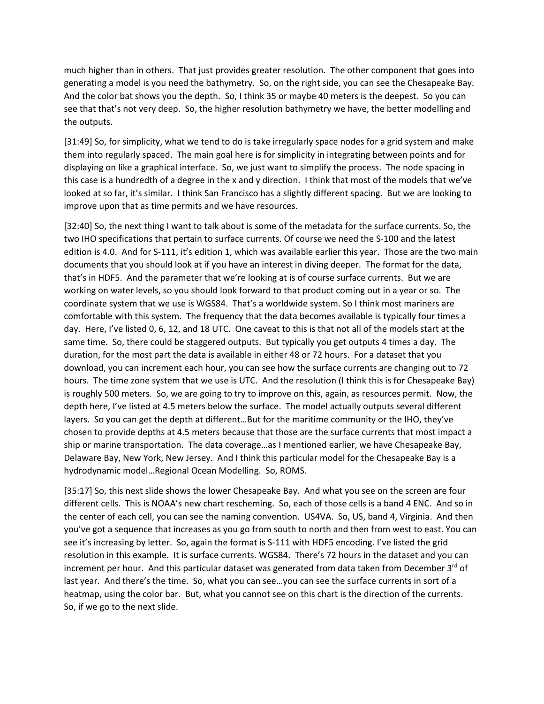much higher than in others. That just provides greater resolution. The other component that goes into generating a model is you need the bathymetry. So, on the right side, you can see the Chesapeake Bay. And the color bat shows you the depth. So, I think 35 or maybe 40 meters is the deepest. So you can see that that's not very deep. So, the higher resolution bathymetry we have, the better modelling and the outputs.

[31:49] So, for simplicity, what we tend to do is take irregularly space nodes for a grid system and make them into regularly spaced. The main goal here is for simplicity in integrating between points and for displaying on like a graphical interface. So, we just want to simplify the process. The node spacing in this case is a hundredth of a degree in the x and y direction. I think that most of the models that we've looked at so far, it's similar. I think San Francisco has a slightly different spacing. But we are looking to improve upon that as time permits and we have resources.

[32:40] So, the next thing I want to talk about is some of the metadata for the surface currents. So, the two IHO specifications that pertain to surface currents. Of course we need the S-100 and the latest edition is 4.0. And for S-111, it's edition 1, which was available earlier this year. Those are the two main documents that you should look at if you have an interest in diving deeper. The format for the data, that's in HDF5. And the parameter that we're looking at is of course surface currents. But we are working on water levels, so you should look forward to that product coming out in a year or so. The coordinate system that we use is WGS84. That's a worldwide system. So I think most mariners are comfortable with this system. The frequency that the data becomes available is typically four times a day. Here, I've listed 0, 6, 12, and 18 UTC. One caveat to this is that not all of the models start at the same time. So, there could be staggered outputs. But typically you get outputs 4 times a day. The duration, for the most part the data is available in either 48 or 72 hours. For a dataset that you download, you can increment each hour, you can see how the surface currents are changing out to 72 hours. The time zone system that we use is UTC. And the resolution (I think this is for Chesapeake Bay) is roughly 500 meters. So, we are going to try to improve on this, again, as resources permit. Now, the depth here, I've listed at 4.5 meters below the surface. The model actually outputs several different layers. So you can get the depth at different…But for the maritime community or the IHO, they've chosen to provide depths at 4.5 meters because that those are the surface currents that most impact a ship or marine transportation. The data coverage…as I mentioned earlier, we have Chesapeake Bay, Delaware Bay, New York, New Jersey. And I think this particular model for the Chesapeake Bay is a hydrodynamic model…Regional Ocean Modelling. So, ROMS.

[35:17] So, this next slide shows the lower Chesapeake Bay. And what you see on the screen are four different cells. This is NOAA's new chart rescheming. So, each of those cells is a band 4 ENC. And so in the center of each cell, you can see the naming convention. US4VA. So, US, band 4, Virginia. And then you've got a sequence that increases as you go from south to north and then from west to east. You can see it's increasing by letter. So, again the format is S-111 with HDF5 encoding. I've listed the grid resolution in this example. It is surface currents. WGS84. There's 72 hours in the dataset and you can increment per hour. And this particular dataset was generated from data taken from December  $3<sup>rd</sup>$  of last year. And there's the time. So, what you can see…you can see the surface currents in sort of a heatmap, using the color bar. But, what you cannot see on this chart is the direction of the currents. So, if we go to the next slide.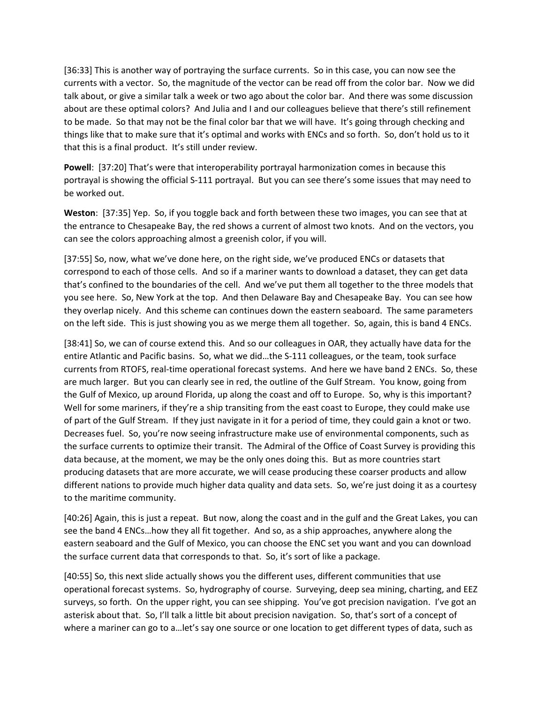[36:33] This is another way of portraying the surface currents. So in this case, you can now see the currents with a vector. So, the magnitude of the vector can be read off from the color bar. Now we did talk about, or give a similar talk a week or two ago about the color bar. And there was some discussion about are these optimal colors? And Julia and I and our colleagues believe that there's still refinement to be made. So that may not be the final color bar that we will have. It's going through checking and things like that to make sure that it's optimal and works with ENCs and so forth. So, don't hold us to it that this is a final product. It's still under review.

**Powell**: [37:20] That's were that interoperability portrayal harmonization comes in because this portrayal is showing the official S-111 portrayal. But you can see there's some issues that may need to be worked out.

**Weston**: [37:35] Yep. So, if you toggle back and forth between these two images, you can see that at the entrance to Chesapeake Bay, the red shows a current of almost two knots. And on the vectors, you can see the colors approaching almost a greenish color, if you will.

[37:55] So, now, what we've done here, on the right side, we've produced ENCs or datasets that correspond to each of those cells. And so if a mariner wants to download a dataset, they can get data that's confined to the boundaries of the cell. And we've put them all together to the three models that you see here. So, New York at the top. And then Delaware Bay and Chesapeake Bay. You can see how they overlap nicely. And this scheme can continues down the eastern seaboard. The same parameters on the left side. This is just showing you as we merge them all together. So, again, this is band 4 ENCs.

[38:41] So, we can of course extend this. And so our colleagues in OAR, they actually have data for the entire Atlantic and Pacific basins. So, what we did…the S-111 colleagues, or the team, took surface currents from RTOFS, real-time operational forecast systems. And here we have band 2 ENCs. So, these are much larger. But you can clearly see in red, the outline of the Gulf Stream. You know, going from the Gulf of Mexico, up around Florida, up along the coast and off to Europe. So, why is this important? Well for some mariners, if they're a ship transiting from the east coast to Europe, they could make use of part of the Gulf Stream. If they just navigate in it for a period of time, they could gain a knot or two. Decreases fuel. So, you're now seeing infrastructure make use of environmental components, such as the surface currents to optimize their transit. The Admiral of the Office of Coast Survey is providing this data because, at the moment, we may be the only ones doing this. But as more countries start producing datasets that are more accurate, we will cease producing these coarser products and allow different nations to provide much higher data quality and data sets. So, we're just doing it as a courtesy to the maritime community.

[40:26] Again, this is just a repeat. But now, along the coast and in the gulf and the Great Lakes, you can see the band 4 ENCs…how they all fit together. And so, as a ship approaches, anywhere along the eastern seaboard and the Gulf of Mexico, you can choose the ENC set you want and you can download the surface current data that corresponds to that. So, it's sort of like a package.

[40:55] So, this next slide actually shows you the different uses, different communities that use operational forecast systems. So, hydrography of course. Surveying, deep sea mining, charting, and EEZ surveys, so forth. On the upper right, you can see shipping. You've got precision navigation. I've got an asterisk about that. So, I'll talk a little bit about precision navigation. So, that's sort of a concept of where a mariner can go to a…let's say one source or one location to get different types of data, such as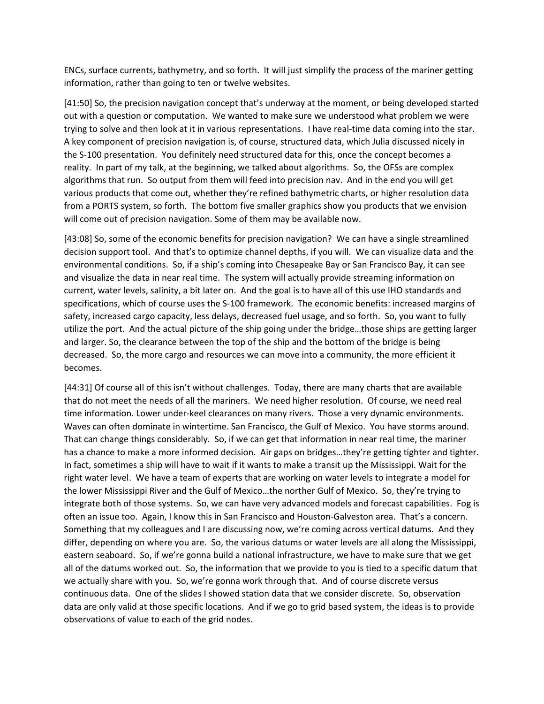ENCs, surface currents, bathymetry, and so forth. It will just simplify the process of the mariner getting information, rather than going to ten or twelve websites.

[41:50] So, the precision navigation concept that's underway at the moment, or being developed started out with a question or computation. We wanted to make sure we understood what problem we were trying to solve and then look at it in various representations. I have real-time data coming into the star. A key component of precision navigation is, of course, structured data, which Julia discussed nicely in the S-100 presentation. You definitely need structured data for this, once the concept becomes a reality. In part of my talk, at the beginning, we talked about algorithms. So, the OFSs are complex algorithms that run. So output from them will feed into precision nav. And in the end you will get various products that come out, whether they're refined bathymetric charts, or higher resolution data from a PORTS system, so forth. The bottom five smaller graphics show you products that we envision will come out of precision navigation. Some of them may be available now.

[43:08] So, some of the economic benefits for precision navigation? We can have a single streamlined decision support tool. And that's to optimize channel depths, if you will. We can visualize data and the environmental conditions. So, if a ship's coming into Chesapeake Bay or San Francisco Bay, it can see and visualize the data in near real time. The system will actually provide streaming information on current, water levels, salinity, a bit later on. And the goal is to have all of this use IHO standards and specifications, which of course uses the S-100 framework. The economic benefits: increased margins of safety, increased cargo capacity, less delays, decreased fuel usage, and so forth. So, you want to fully utilize the port. And the actual picture of the ship going under the bridge…those ships are getting larger and larger. So, the clearance between the top of the ship and the bottom of the bridge is being decreased. So, the more cargo and resources we can move into a community, the more efficient it becomes.

[44:31] Of course all of this isn't without challenges. Today, there are many charts that are available that do not meet the needs of all the mariners. We need higher resolution. Of course, we need real time information. Lower under-keel clearances on many rivers. Those a very dynamic environments. Waves can often dominate in wintertime. San Francisco, the Gulf of Mexico. You have storms around. That can change things considerably. So, if we can get that information in near real time, the mariner has a chance to make a more informed decision. Air gaps on bridges…they're getting tighter and tighter. In fact, sometimes a ship will have to wait if it wants to make a transit up the Mississippi. Wait for the right water level. We have a team of experts that are working on water levels to integrate a model for the lower Mississippi River and the Gulf of Mexico…the norther Gulf of Mexico. So, they're trying to integrate both of those systems. So, we can have very advanced models and forecast capabilities. Fog is often an issue too. Again, I know this in San Francisco and Houston-Galveston area. That's a concern. Something that my colleagues and I are discussing now, we're coming across vertical datums. And they differ, depending on where you are. So, the various datums or water levels are all along the Mississippi, eastern seaboard. So, if we're gonna build a national infrastructure, we have to make sure that we get all of the datums worked out. So, the information that we provide to you is tied to a specific datum that we actually share with you. So, we're gonna work through that. And of course discrete versus continuous data. One of the slides I showed station data that we consider discrete. So, observation data are only valid at those specific locations. And if we go to grid based system, the ideas is to provide observations of value to each of the grid nodes.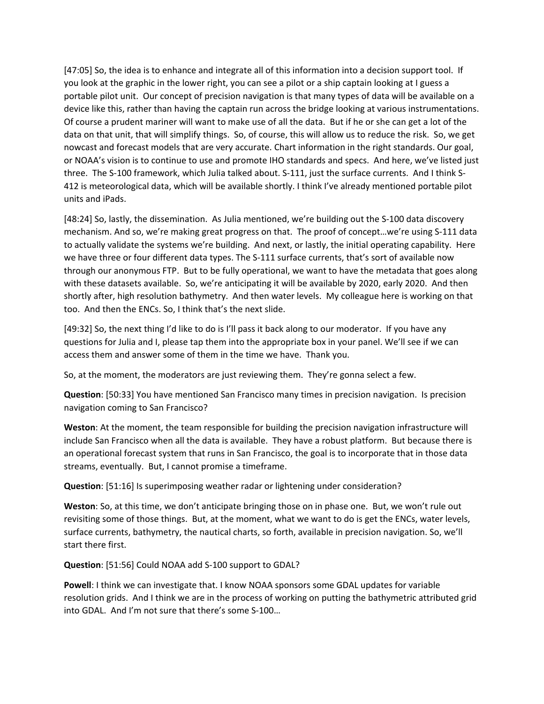[47:05] So, the idea is to enhance and integrate all of this information into a decision support tool. If you look at the graphic in the lower right, you can see a pilot or a ship captain looking at I guess a portable pilot unit. Our concept of precision navigation is that many types of data will be available on a device like this, rather than having the captain run across the bridge looking at various instrumentations. Of course a prudent mariner will want to make use of all the data. But if he or she can get a lot of the data on that unit, that will simplify things. So, of course, this will allow us to reduce the risk. So, we get nowcast and forecast models that are very accurate. Chart information in the right standards. Our goal, or NOAA's vision is to continue to use and promote IHO standards and specs. And here, we've listed just three. The S-100 framework, which Julia talked about. S-111, just the surface currents. And I think S-412 is meteorological data, which will be available shortly. I think I've already mentioned portable pilot units and iPads.

[48:24] So, lastly, the dissemination. As Julia mentioned, we're building out the S-100 data discovery mechanism. And so, we're making great progress on that. The proof of concept…we're using S-111 data to actually validate the systems we're building. And next, or lastly, the initial operating capability. Here we have three or four different data types. The S-111 surface currents, that's sort of available now through our anonymous FTP. But to be fully operational, we want to have the metadata that goes along with these datasets available. So, we're anticipating it will be available by 2020, early 2020. And then shortly after, high resolution bathymetry. And then water levels. My colleague here is working on that too. And then the ENCs. So, I think that's the next slide.

[49:32] So, the next thing I'd like to do is I'll pass it back along to our moderator. If you have any questions for Julia and I, please tap them into the appropriate box in your panel. We'll see if we can access them and answer some of them in the time we have. Thank you.

So, at the moment, the moderators are just reviewing them. They're gonna select a few.

**Question**: [50:33] You have mentioned San Francisco many times in precision navigation. Is precision navigation coming to San Francisco?

**Weston**: At the moment, the team responsible for building the precision navigation infrastructure will include San Francisco when all the data is available. They have a robust platform. But because there is an operational forecast system that runs in San Francisco, the goal is to incorporate that in those data streams, eventually. But, I cannot promise a timeframe.

**Question**: [51:16] Is superimposing weather radar or lightening under consideration?

**Weston**: So, at this time, we don't anticipate bringing those on in phase one. But, we won't rule out revisiting some of those things. But, at the moment, what we want to do is get the ENCs, water levels, surface currents, bathymetry, the nautical charts, so forth, available in precision navigation. So, we'll start there first.

**Question**: [51:56] Could NOAA add S-100 support to GDAL?

**Powell**: I think we can investigate that. I know NOAA sponsors some GDAL updates for variable resolution grids. And I think we are in the process of working on putting the bathymetric attributed grid into GDAL. And I'm not sure that there's some S-100…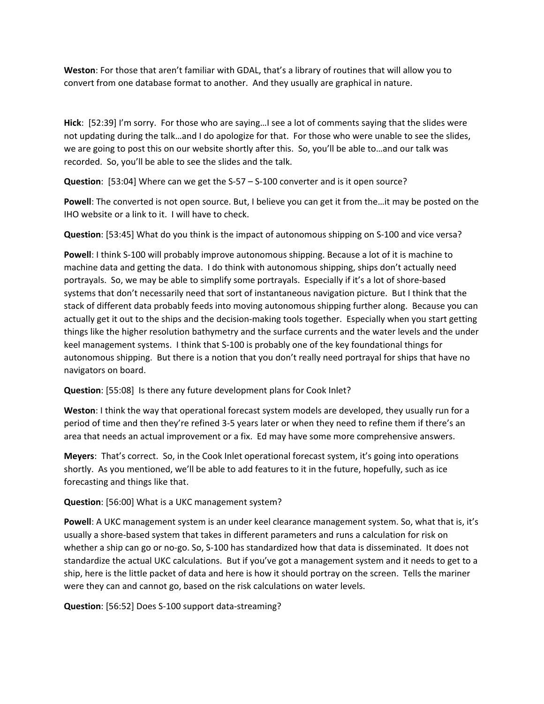**Weston**: For those that aren't familiar with GDAL, that's a library of routines that will allow you to convert from one database format to another. And they usually are graphical in nature.

**Hick**: [52:39] I'm sorry. For those who are saying…I see a lot of comments saying that the slides were not updating during the talk…and I do apologize for that. For those who were unable to see the slides, we are going to post this on our website shortly after this. So, you'll be able to…and our talk was recorded. So, you'll be able to see the slides and the talk.

**Question**: [53:04] Where can we get the S-57 – S-100 converter and is it open source?

**Powell**: The converted is not open source. But, I believe you can get it from the…it may be posted on the IHO website or a link to it. I will have to check.

**Question**: [53:45] What do you think is the impact of autonomous shipping on S-100 and vice versa?

**Powell**: I think S-100 will probably improve autonomous shipping. Because a lot of it is machine to machine data and getting the data. I do think with autonomous shipping, ships don't actually need portrayals. So, we may be able to simplify some portrayals. Especially if it's a lot of shore-based systems that don't necessarily need that sort of instantaneous navigation picture. But I think that the stack of different data probably feeds into moving autonomous shipping further along. Because you can actually get it out to the ships and the decision-making tools together. Especially when you start getting things like the higher resolution bathymetry and the surface currents and the water levels and the under keel management systems. I think that S-100 is probably one of the key foundational things for autonomous shipping. But there is a notion that you don't really need portrayal for ships that have no navigators on board.

**Question**: [55:08] Is there any future development plans for Cook Inlet?

**Weston**: I think the way that operational forecast system models are developed, they usually run for a period of time and then they're refined 3-5 years later or when they need to refine them if there's an area that needs an actual improvement or a fix. Ed may have some more comprehensive answers.

**Meyers**: That's correct. So, in the Cook Inlet operational forecast system, it's going into operations shortly. As you mentioned, we'll be able to add features to it in the future, hopefully, such as ice forecasting and things like that.

**Question**: [56:00] What is a UKC management system?

**Powell**: A UKC management system is an under keel clearance management system. So, what that is, it's usually a shore-based system that takes in different parameters and runs a calculation for risk on whether a ship can go or no-go. So, S-100 has standardized how that data is disseminated. It does not standardize the actual UKC calculations. But if you've got a management system and it needs to get to a ship, here is the little packet of data and here is how it should portray on the screen. Tells the mariner were they can and cannot go, based on the risk calculations on water levels.

**Question**: [56:52] Does S-100 support data-streaming?